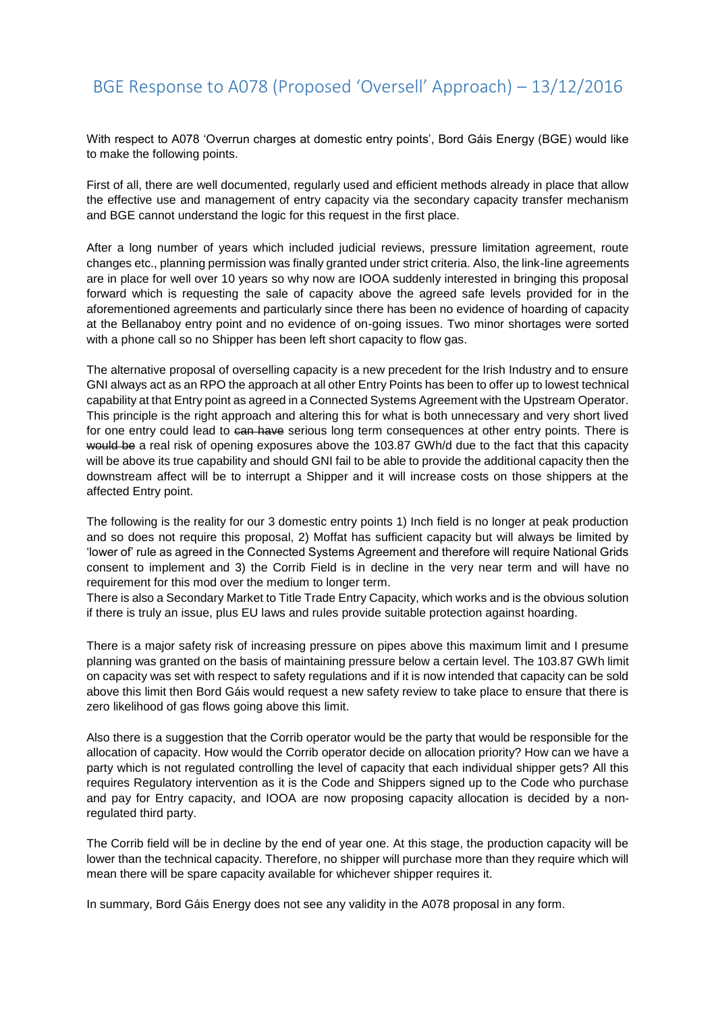With respect to A078 'Overrun charges at domestic entry points', Bord Gáis Energy (BGE) would like to make the following points.

First of all, there are well documented, regularly used and efficient methods already in place that allow the effective use and management of entry capacity via the secondary capacity transfer mechanism and BGE cannot understand the logic for this request in the first place.

After a long number of years which included judicial reviews, pressure limitation agreement, route changes etc., planning permission was finally granted under strict criteria. Also, the link-line agreements are in place for well over 10 years so why now are IOOA suddenly interested in bringing this proposal forward which is requesting the sale of capacity above the agreed safe levels provided for in the aforementioned agreements and particularly since there has been no evidence of hoarding of capacity at the Bellanaboy entry point and no evidence of on-going issues. Two minor shortages were sorted with a phone call so no Shipper has been left short capacity to flow gas.

The alternative proposal of overselling capacity is a new precedent for the Irish Industry and to ensure GNI always act as an RPO the approach at all other Entry Points has been to offer up to lowest technical capability at that Entry point as agreed in a Connected Systems Agreement with the Upstream Operator. This principle is the right approach and altering this for what is both unnecessary and very short lived for one entry could lead to can have serious long term consequences at other entry points. There is would be a real risk of opening exposures above the 103.87 GWh/d due to the fact that this capacity will be above its true capability and should GNI fail to be able to provide the additional capacity then the downstream affect will be to interrupt a Shipper and it will increase costs on those shippers at the affected Entry point.

The following is the reality for our 3 domestic entry points 1) Inch field is no longer at peak production and so does not require this proposal, 2) Moffat has sufficient capacity but will always be limited by 'lower of' rule as agreed in the Connected Systems Agreement and therefore will require National Grids consent to implement and 3) the Corrib Field is in decline in the very near term and will have no requirement for this mod over the medium to longer term.

There is also a Secondary Market to Title Trade Entry Capacity, which works and is the obvious solution if there is truly an issue, plus EU laws and rules provide suitable protection against hoarding.

There is a major safety risk of increasing pressure on pipes above this maximum limit and I presume planning was granted on the basis of maintaining pressure below a certain level. The 103.87 GWh limit on capacity was set with respect to safety regulations and if it is now intended that capacity can be sold above this limit then Bord Gáis would request a new safety review to take place to ensure that there is zero likelihood of gas flows going above this limit.

Also there is a suggestion that the Corrib operator would be the party that would be responsible for the allocation of capacity. How would the Corrib operator decide on allocation priority? How can we have a party which is not regulated controlling the level of capacity that each individual shipper gets? All this requires Regulatory intervention as it is the Code and Shippers signed up to the Code who purchase and pay for Entry capacity, and IOOA are now proposing capacity allocation is decided by a nonregulated third party.

The Corrib field will be in decline by the end of year one. At this stage, the production capacity will be lower than the technical capacity. Therefore, no shipper will purchase more than they require which will mean there will be spare capacity available for whichever shipper requires it.

In summary, Bord Gáis Energy does not see any validity in the A078 proposal in any form.